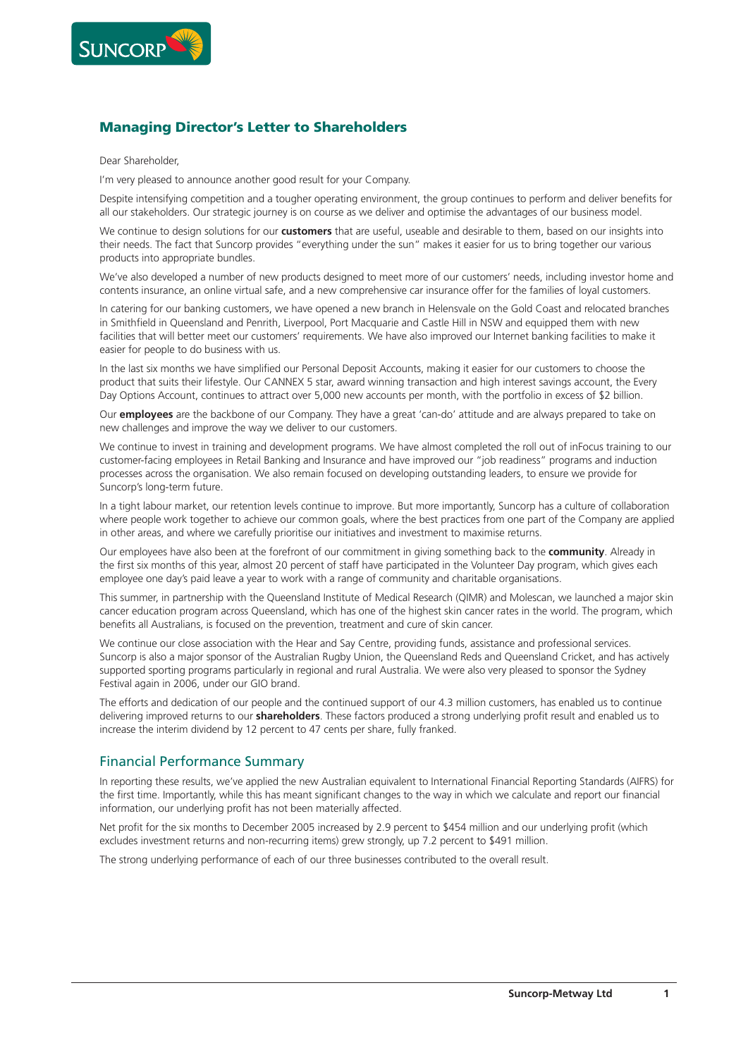

# **Managing Director's Letter to Shareholders**

Dear Shareholder,

I'm very pleased to announce another good result for your Company.

Despite intensifying competition and a tougher operating environment, the group continues to perform and deliver benefits for all our stakeholders. Our strategic journey is on course as we deliver and optimise the advantages of our business model.

We continue to design solutions for our **customers** that are useful, useable and desirable to them, based on our insights into their needs. The fact that Suncorp provides "everything under the sun" makes it easier for us to bring together our various products into appropriate bundles.

We've also developed a number of new products designed to meet more of our customers' needs, including investor home and contents insurance, an online virtual safe, and a new comprehensive car insurance offer for the families of loyal customers.

In catering for our banking customers, we have opened a new branch in Helensvale on the Gold Coast and relocated branches in Smithfield in Queensland and Penrith, Liverpool, Port Macquarie and Castle Hill in NSW and equipped them with new facilities that will better meet our customers' requirements. We have also improved our Internet banking facilities to make it easier for people to do business with us.

In the last six months we have simplified our Personal Deposit Accounts, making it easier for our customers to choose the product that suits their lifestyle. Our CANNEX 5 star, award winning transaction and high interest savings account, the Every Day Options Account, continues to attract over 5,000 new accounts per month, with the portfolio in excess of \$2 billion.

Our **employees** are the backbone of our Company. They have a great 'can-do' attitude and are always prepared to take on new challenges and improve the way we deliver to our customers.

We continue to invest in training and development programs. We have almost completed the roll out of inFocus training to our customer-facing employees in Retail Banking and Insurance and have improved our "job readiness" programs and induction processes across the organisation. We also remain focused on developing outstanding leaders, to ensure we provide for Suncorp's long-term future.

In a tight labour market, our retention levels continue to improve. But more importantly, Suncorp has a culture of collaboration where people work together to achieve our common goals, where the best practices from one part of the Company are applied in other areas, and where we carefully prioritise our initiatives and investment to maximise returns.

Our employees have also been at the forefront of our commitment in giving something back to the **community**. Already in the first six months of this year, almost 20 percent of staff have participated in the Volunteer Day program, which gives each employee one day's paid leave a year to work with a range of community and charitable organisations.

This summer, in partnership with the Queensland Institute of Medical Research (QIMR) and Molescan, we launched a major skin cancer education program across Queensland, which has one of the highest skin cancer rates in the world. The program, which benefits all Australians, is focused on the prevention, treatment and cure of skin cancer.

We continue our close association with the Hear and Say Centre, providing funds, assistance and professional services. Suncorp is also a major sponsor of the Australian Rugby Union, the Queensland Reds and Queensland Cricket, and has actively supported sporting programs particularly in regional and rural Australia. We were also very pleased to sponsor the Sydney Festival again in 2006, under our GIO brand.

The efforts and dedication of our people and the continued support of our 4.3 million customers, has enabled us to continue delivering improved returns to our **shareholders**. These factors produced a strong underlying profit result and enabled us to increase the interim dividend by 12 percent to 47 cents per share, fully franked.

## Financial Performance Summary

In reporting these results, we've applied the new Australian equivalent to International Financial Reporting Standards (AIFRS) for the first time. Importantly, while this has meant significant changes to the way in which we calculate and report our financial information, our underlying profit has not been materially affected.

Net profit for the six months to December 2005 increased by 2.9 percent to \$454 million and our underlying profit (which excludes investment returns and non-recurring items) grew strongly, up 7.2 percent to \$491 million.

The strong underlying performance of each of our three businesses contributed to the overall result.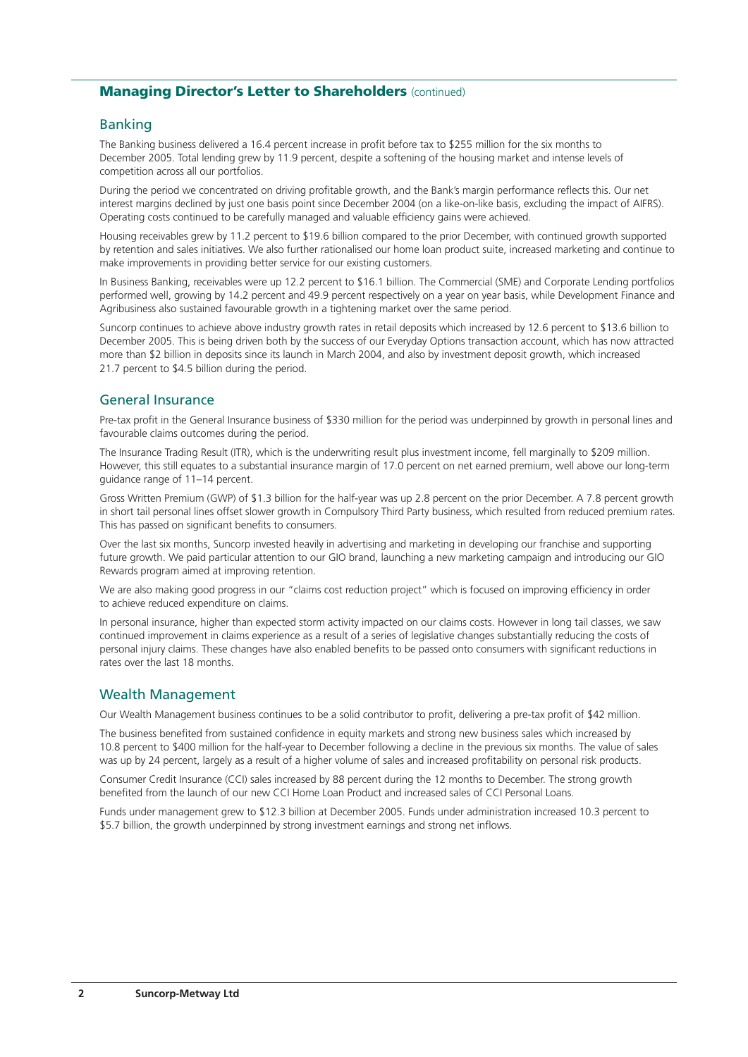## **Managing Director's Letter to Shareholders** (continued)

#### Banking

The Banking business delivered a 16.4 percent increase in profit before tax to \$255 million for the six months to December 2005. Total lending grew by 11.9 percent, despite a softening of the housing market and intense levels of competition across all our portfolios.

During the period we concentrated on driving profitable growth, and the Bank's margin performance reflects this. Our net interest margins declined by just one basis point since December 2004 (on a like-on-like basis, excluding the impact of AIFRS). Operating costs continued to be carefully managed and valuable efficiency gains were achieved.

Housing receivables grew by 11.2 percent to \$19.6 billion compared to the prior December, with continued growth supported by retention and sales initiatives. We also further rationalised our home loan product suite, increased marketing and continue to make improvements in providing better service for our existing customers.

In Business Banking, receivables were up 12.2 percent to \$16.1 billion. The Commercial (SME) and Corporate Lending portfolios performed well, growing by 14.2 percent and 49.9 percent respectively on a year on year basis, while Development Finance and Agribusiness also sustained favourable growth in a tightening market over the same period.

Suncorp continues to achieve above industry growth rates in retail deposits which increased by 12.6 percent to \$13.6 billion to December 2005. This is being driven both by the success of our Everyday Options transaction account, which has now attracted more than \$2 billion in deposits since its launch in March 2004, and also by investment deposit growth, which increased 21.7 percent to \$4.5 billion during the period.

## General Insurance

Pre-tax profit in the General Insurance business of \$330 million for the period was underpinned by growth in personal lines and favourable claims outcomes during the period.

The Insurance Trading Result (ITR), which is the underwriting result plus investment income, fell marginally to \$209 million. However, this still equates to a substantial insurance margin of 17.0 percent on net earned premium, well above our long-term guidance range of 11–14 percent.

Gross Written Premium (GWP) of \$1.3 billion for the half-year was up 2.8 percent on the prior December. A 7.8 percent growth in short tail personal lines offset slower growth in Compulsory Third Party business, which resulted from reduced premium rates. This has passed on significant benefits to consumers.

Over the last six months, Suncorp invested heavily in advertising and marketing in developing our franchise and supporting future growth. We paid particular attention to our GIO brand, launching a new marketing campaign and introducing our GIO Rewards program aimed at improving retention.

We are also making good progress in our "claims cost reduction project" which is focused on improving efficiency in order to achieve reduced expenditure on claims.

In personal insurance, higher than expected storm activity impacted on our claims costs. However in long tail classes, we saw continued improvement in claims experience as a result of a series of legislative changes substantially reducing the costs of personal injury claims. These changes have also enabled benefits to be passed onto consumers with significant reductions in rates over the last 18 months.

#### Wealth Management

Our Wealth Management business continues to be a solid contributor to profit, delivering a pre-tax profit of \$42 million.

The business benefited from sustained confidence in equity markets and strong new business sales which increased by 10.8 percent to \$400 million for the half-year to December following a decline in the previous six months. The value of sales was up by 24 percent, largely as a result of a higher volume of sales and increased profitability on personal risk products.

Consumer Credit Insurance (CCI) sales increased by 88 percent during the 12 months to December. The strong growth benefited from the launch of our new CCI Home Loan Product and increased sales of CCI Personal Loans.

Funds under management grew to \$12.3 billion at December 2005. Funds under administration increased 10.3 percent to \$5.7 billion, the growth underpinned by strong investment earnings and strong net inflows.